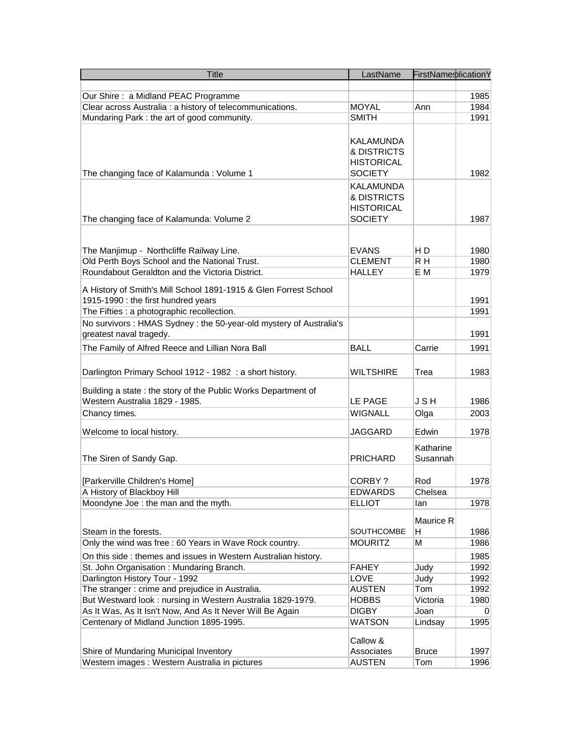| <b>Title</b>                                                                       | LastName              | FirstNameslicationY |      |
|------------------------------------------------------------------------------------|-----------------------|---------------------|------|
|                                                                                    |                       |                     |      |
| Our Shire: a Midland PEAC Programme                                                |                       |                     | 1985 |
| Clear across Australia : a history of telecommunications.                          | <b>MOYAL</b>          | Ann                 | 1984 |
| Mundaring Park : the art of good community.                                        | <b>SMITH</b>          |                     | 1991 |
|                                                                                    |                       |                     |      |
|                                                                                    | <b>KALAMUNDA</b>      |                     |      |
|                                                                                    | & DISTRICTS           |                     |      |
|                                                                                    | <b>HISTORICAL</b>     |                     |      |
| The changing face of Kalamunda: Volume 1                                           | <b>SOCIETY</b>        |                     | 1982 |
|                                                                                    | <b>KALAMUNDA</b>      |                     |      |
|                                                                                    | & DISTRICTS           |                     |      |
|                                                                                    | <b>HISTORICAL</b>     |                     |      |
| The changing face of Kalamunda: Volume 2                                           | <b>SOCIETY</b>        |                     | 1987 |
|                                                                                    |                       |                     |      |
|                                                                                    |                       |                     |      |
| The Manjimup - Northcliffe Railway Line.                                           | <b>EVANS</b>          | H D                 | 1980 |
| Old Perth Boys School and the National Trust.                                      | <b>CLEMENT</b>        | R H                 | 1980 |
| Roundabout Geraldton and the Victoria District.                                    | <b>HALLEY</b>         | E M                 | 1979 |
|                                                                                    |                       |                     |      |
| A History of Smith's Mill School 1891-1915 & Glen Forrest School                   |                       |                     |      |
| 1915-1990 : the first hundred years                                                |                       |                     | 1991 |
| The Fifties : a photographic recollection.                                         |                       |                     | 1991 |
| No survivors: HMAS Sydney: the 50-year-old mystery of Australia's                  |                       |                     |      |
| greatest naval tragedy.                                                            |                       |                     | 1991 |
| The Family of Alfred Reece and Lillian Nora Ball                                   | <b>BALL</b>           | Carrie              | 1991 |
|                                                                                    |                       |                     |      |
| Darlington Primary School 1912 - 1982 : a short history.                           | <b>WILTSHIRE</b>      | Trea                | 1983 |
|                                                                                    |                       |                     |      |
| Building a state: the story of the Public Works Department of                      |                       |                     |      |
| Western Australia 1829 - 1985.                                                     | LE PAGE               | <b>JSH</b>          | 1986 |
| Chancy times.                                                                      | <b>WIGNALL</b>        | Olga                | 2003 |
| Welcome to local history.                                                          | JAGGARD               | Edwin               | 1978 |
|                                                                                    |                       |                     |      |
|                                                                                    |                       | Katharine           |      |
| The Siren of Sandy Gap.                                                            | <b>PRICHARD</b>       | Susannah            |      |
|                                                                                    |                       |                     |      |
| [Parkerville Children's Home]                                                      | CORBY?                | Rod                 | 1978 |
| A History of Blackboy Hill                                                         | <b>EDWARDS</b>        | Chelsea             |      |
| Moondyne Joe : the man and the myth.                                               | <b>ELLIOT</b>         | lan                 | 1978 |
|                                                                                    |                       | Maurice R           |      |
| Steam in the forests.                                                              | SOUTHCOMBE            | н                   | 1986 |
| Only the wind was free : 60 Years in Wave Rock country.                            | <b>MOURITZ</b>        | М                   | 1986 |
|                                                                                    |                       |                     |      |
| On this side : themes and issues in Western Australian history.                    |                       |                     | 1985 |
| St. John Organisation: Mundaring Branch.                                           | <b>FAHEY</b>          | Judy                | 1992 |
| Darlington History Tour - 1992<br>The stranger : crime and prejudice in Australia. | LOVE<br><b>AUSTEN</b> | Judy<br>Tom         | 1992 |
|                                                                                    |                       |                     | 1992 |
| But Westward look: nursing in Western Australia 1829-1979.                         | <b>HOBBS</b>          | Victoria            | 1980 |
| As It Was, As It Isn't Now, And As It Never Will Be Again                          | <b>DIGBY</b>          | Joan                | 0    |
| Centenary of Midland Junction 1895-1995.                                           | WATSON                | Lindsay             | 1995 |
|                                                                                    | Callow &              |                     |      |
| Shire of Mundaring Municipal Inventory                                             | Associates            | <b>Bruce</b>        | 1997 |
| Western images : Western Australia in pictures                                     | <b>AUSTEN</b>         | Tom                 | 1996 |
|                                                                                    |                       |                     |      |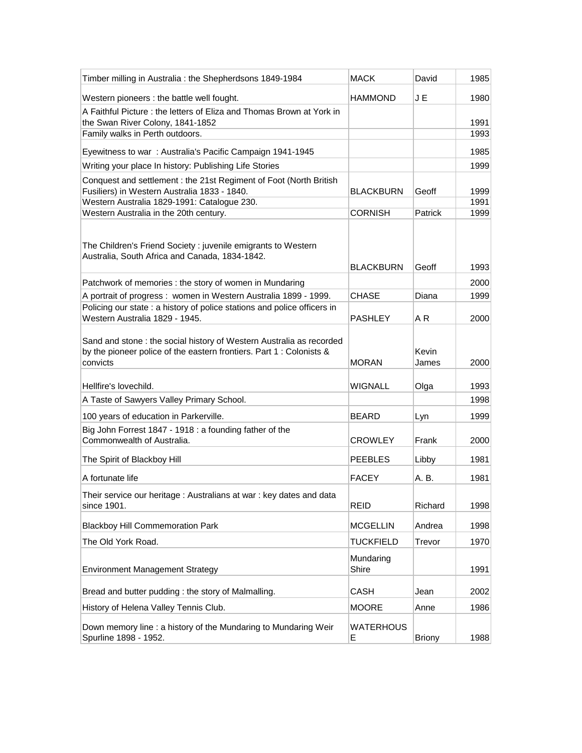| Timber milling in Australia : the Shepherdsons 1849-1984                                                                                                 | <b>MACK</b>           | David          | 1985         |
|----------------------------------------------------------------------------------------------------------------------------------------------------------|-----------------------|----------------|--------------|
| Western pioneers : the battle well fought.                                                                                                               | <b>HAMMOND</b>        | J E            | 1980         |
| A Faithful Picture: the letters of Eliza and Thomas Brown at York in                                                                                     |                       |                |              |
| the Swan River Colony, 1841-1852<br>Family walks in Perth outdoors.                                                                                      |                       |                | 1991<br>1993 |
|                                                                                                                                                          |                       |                |              |
| Eyewitness to war: Australia's Pacific Campaign 1941-1945                                                                                                |                       |                | 1985         |
| Writing your place In history: Publishing Life Stories                                                                                                   |                       |                | 1999         |
| Conquest and settlement: the 21st Regiment of Foot (North British<br>Fusiliers) in Western Australia 1833 - 1840.                                        | <b>BLACKBURN</b>      | Geoff          | 1999         |
| Western Australia 1829-1991: Catalogue 230.                                                                                                              |                       |                | 1991         |
| Western Australia in the 20th century.                                                                                                                   | <b>CORNISH</b>        | Patrick        | 1999         |
| The Children's Friend Society : juvenile emigrants to Western<br>Australia, South Africa and Canada, 1834-1842.                                          | <b>BLACKBURN</b>      | Geoff          | 1993         |
| Patchwork of memories : the story of women in Mundaring                                                                                                  |                       |                | 2000         |
| A portrait of progress : women in Western Australia 1899 - 1999.                                                                                         | <b>CHASE</b>          | Diana          | 1999         |
| Policing our state : a history of police stations and police officers in                                                                                 |                       |                |              |
| Western Australia 1829 - 1945.                                                                                                                           | <b>PASHLEY</b>        | A R            | 2000         |
| Sand and stone : the social history of Western Australia as recorded<br>by the pioneer police of the eastern frontiers. Part 1 : Colonists &<br>convicts | <b>MORAN</b>          | Kevin<br>James | 2000         |
| Hellfire's lovechild.                                                                                                                                    | <b>WIGNALL</b>        | Olga           | 1993         |
| A Taste of Sawyers Valley Primary School.                                                                                                                |                       |                | 1998         |
| 100 years of education in Parkerville.                                                                                                                   | <b>BEARD</b>          | Lyn            | 1999         |
| Big John Forrest 1847 - 1918 : a founding father of the<br>Commonwealth of Australia.                                                                    | CROWLEY               | Frank          | 2000         |
| The Spirit of Blackboy Hill                                                                                                                              | <b>PEEBLES</b>        | Libby          | 1981         |
| A fortunate life                                                                                                                                         | <b>FACEY</b>          | A. B.          | 1981         |
| Their service our heritage : Australians at war : key dates and data<br>since 1901.                                                                      | <b>REID</b>           | Richard        | 1998         |
| <b>Blackboy Hill Commemoration Park</b>                                                                                                                  | <b>MCGELLIN</b>       | Andrea         | 1998         |
| The Old York Road.                                                                                                                                       | <b>TUCKFIELD</b>      | Trevor         | 1970         |
| <b>Environment Management Strategy</b>                                                                                                                   | Mundaring<br>Shire    |                | 1991         |
| Bread and butter pudding: the story of Malmalling.                                                                                                       | <b>CASH</b>           | Jean           | 2002         |
| History of Helena Valley Tennis Club.                                                                                                                    | <b>MOORE</b>          | Anne           | 1986         |
| Down memory line : a history of the Mundaring to Mundaring Weir<br>Spurline 1898 - 1952.                                                                 | <b>WATERHOUS</b><br>Ε | <b>Briony</b>  | 1988         |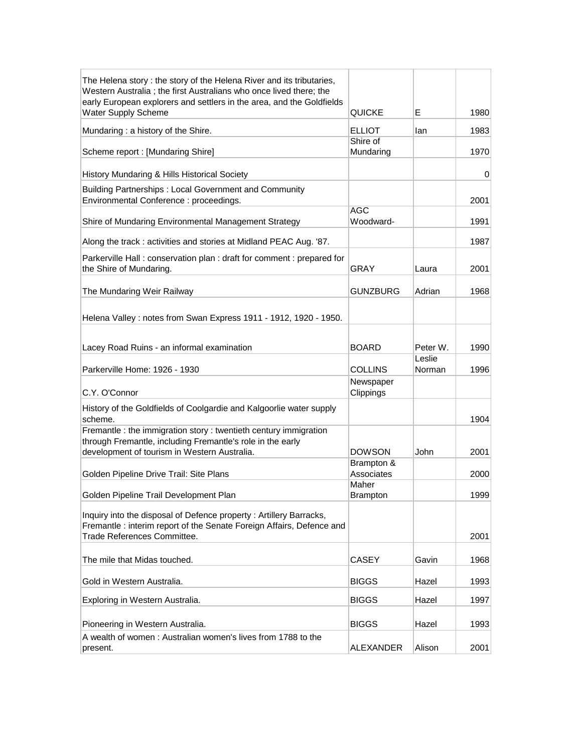| The Helena story: the story of the Helena River and its tributaries,<br>Western Australia; the first Australians who once lived there; the<br>early European explorers and settlers in the area, and the Goldfields |                           |                    |      |
|---------------------------------------------------------------------------------------------------------------------------------------------------------------------------------------------------------------------|---------------------------|--------------------|------|
| <b>Water Supply Scheme</b>                                                                                                                                                                                          | QUICKE                    | E.                 | 1980 |
| Mundaring: a history of the Shire.                                                                                                                                                                                  | <b>ELLIOT</b><br>Shire of | lan                | 1983 |
| Scheme report : [Mundaring Shire]                                                                                                                                                                                   | Mundaring                 |                    | 1970 |
| History Mundaring & Hills Historical Society                                                                                                                                                                        |                           |                    | 0    |
| Building Partnerships: Local Government and Community<br>Environmental Conference : proceedings.                                                                                                                    |                           |                    | 2001 |
| Shire of Mundaring Environmental Management Strategy                                                                                                                                                                | <b>AGC</b><br>Woodward-   |                    | 1991 |
| Along the track: activities and stories at Midland PEAC Aug. 87.                                                                                                                                                    |                           |                    | 1987 |
| Parkerville Hall: conservation plan: draft for comment: prepared for<br>the Shire of Mundaring.                                                                                                                     | <b>GRAY</b>               | Laura              | 2001 |
| The Mundaring Weir Railway                                                                                                                                                                                          | <b>GUNZBURG</b>           | Adrian             | 1968 |
| Helena Valley: notes from Swan Express 1911 - 1912, 1920 - 1950.                                                                                                                                                    |                           |                    |      |
| Lacey Road Ruins - an informal examination                                                                                                                                                                          | <b>BOARD</b>              | Peter W.<br>Leslie | 1990 |
| Parkerville Home: 1926 - 1930                                                                                                                                                                                       | <b>COLLINS</b>            | Norman             | 1996 |
| C.Y. O'Connor                                                                                                                                                                                                       | Newspaper<br>Clippings    |                    |      |
| History of the Goldfields of Coolgardie and Kalgoorlie water supply<br>scheme.                                                                                                                                      |                           |                    | 1904 |
| Fremantle : the immigration story : twentieth century immigration<br>through Fremantle, including Fremantle's role in the early<br>development of tourism in Western Australia.                                     | <b>DOWSON</b>             | John               | 2001 |
| Golden Pipeline Drive Trail: Site Plans                                                                                                                                                                             | Brampton &<br>Associates  |                    | 2000 |
| Golden Pipeline Trail Development Plan                                                                                                                                                                              | Maher<br><b>Brampton</b>  |                    | 1999 |
| Inquiry into the disposal of Defence property: Artillery Barracks,<br>Fremantle: interim report of the Senate Foreign Affairs, Defence and<br>Trade References Committee.                                           |                           |                    | 2001 |
| The mile that Midas touched.                                                                                                                                                                                        | <b>CASEY</b>              | Gavin              | 1968 |
| Gold in Western Australia.                                                                                                                                                                                          | <b>BIGGS</b>              | Hazel              | 1993 |
| Exploring in Western Australia.                                                                                                                                                                                     | <b>BIGGS</b>              | Hazel              | 1997 |
| Pioneering in Western Australia.                                                                                                                                                                                    | <b>BIGGS</b>              | Hazel              | 1993 |
| A wealth of women: Australian women's lives from 1788 to the                                                                                                                                                        |                           |                    |      |
| present.                                                                                                                                                                                                            | <b>ALEXANDER</b>          | Alison             | 2001 |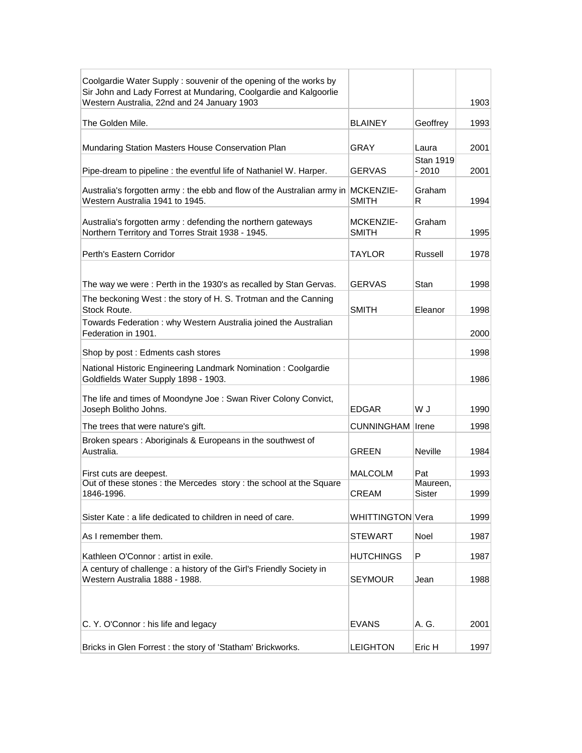| Coolgardie Water Supply: souvenir of the opening of the works by<br>Sir John and Lady Forrest at Mundaring, Coolgardie and Kalgoorlie |                           |                            |      |
|---------------------------------------------------------------------------------------------------------------------------------------|---------------------------|----------------------------|------|
| Western Australia, 22nd and 24 January 1903                                                                                           |                           |                            | 1903 |
| The Golden Mile.                                                                                                                      | <b>BLAINEY</b>            | Geoffrey                   | 1993 |
| Mundaring Station Masters House Conservation Plan                                                                                     | <b>GRAY</b>               | Laura                      | 2001 |
| Pipe-dream to pipeline : the eventful life of Nathaniel W. Harper.                                                                    | <b>GERVAS</b>             | <b>Stan 1919</b><br>- 2010 | 2001 |
| Australia's forgotten army: the ebb and flow of the Australian army in MCKENZIE-<br>Western Australia 1941 to 1945.                   | <b>SMITH</b>              | Graham<br>R                | 1994 |
| Australia's forgotten army: defending the northern gateways<br>Northern Territory and Torres Strait 1938 - 1945.                      | MCKENZIE-<br><b>SMITH</b> | Graham<br>R                | 1995 |
| Perth's Eastern Corridor                                                                                                              | TAYLOR                    | Russell                    | 1978 |
| The way we were: Perth in the 1930's as recalled by Stan Gervas.                                                                      | <b>GERVAS</b>             | Stan                       | 1998 |
| The beckoning West: the story of H. S. Trotman and the Canning<br>Stock Route.                                                        | <b>SMITH</b>              | Eleanor                    | 1998 |
| Towards Federation: why Western Australia joined the Australian<br>Federation in 1901.                                                |                           |                            | 2000 |
| Shop by post: Edments cash stores                                                                                                     |                           |                            | 1998 |
| National Historic Engineering Landmark Nomination: Coolgardie<br>Goldfields Water Supply 1898 - 1903.                                 |                           |                            | 1986 |
| The life and times of Moondyne Joe : Swan River Colony Convict,<br>Joseph Bolitho Johns.                                              | <b>EDGAR</b>              | U W                        | 1990 |
| The trees that were nature's gift.                                                                                                    | <b>CUNNINGHAM</b> Irene   |                            | 1998 |
| Broken spears : Aboriginals & Europeans in the southwest of<br>Australia.                                                             | GREEN                     | Neville                    | 1984 |
| First cuts are deepest.                                                                                                               | <b>MALCOLM</b>            | Pat                        | 1993 |
| Out of these stones: the Mercedes story: the school at the Square<br>1846-1996.                                                       | CREAM                     | Maureen,<br>Sister         | 1999 |
| Sister Kate: a life dedicated to children in need of care.                                                                            | WHITTINGTON Vera          |                            | 1999 |
| As I remember them.                                                                                                                   | <b>STEWART</b>            | Noel                       | 1987 |
| Kathleen O'Connor: artist in exile.                                                                                                   | <b>HUTCHINGS</b>          | P                          | 1987 |
| A century of challenge : a history of the Girl's Friendly Society in<br>Western Australia 1888 - 1988.                                | <b>SEYMOUR</b>            | Jean                       | 1988 |
|                                                                                                                                       |                           |                            |      |
| C. Y. O'Connor: his life and legacy                                                                                                   | <b>EVANS</b>              | A. G.                      | 2001 |
| Bricks in Glen Forrest: the story of 'Statham' Brickworks.                                                                            | <b>LEIGHTON</b>           | Eric H                     | 1997 |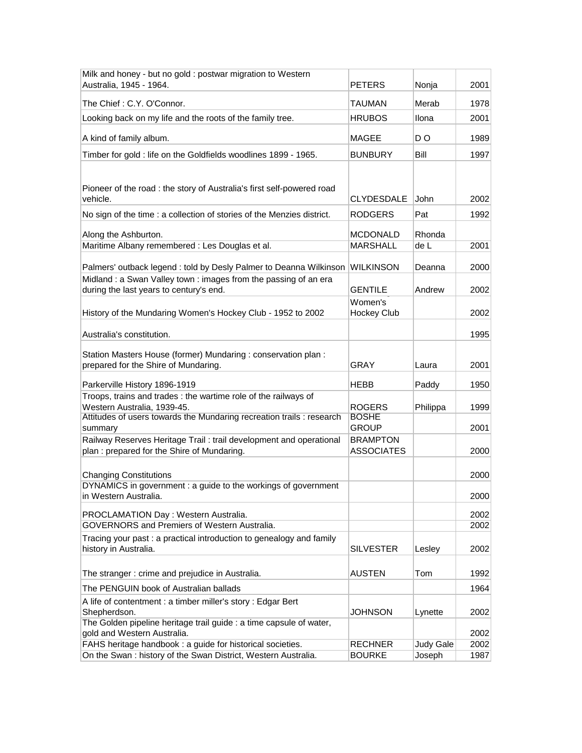| Milk and honey - but no gold : postwar migration to Western                                                       |                                      |                  |      |
|-------------------------------------------------------------------------------------------------------------------|--------------------------------------|------------------|------|
| Australia, 1945 - 1964.                                                                                           | PETERS                               | Nonja            | 2001 |
| The Chief: C.Y. O'Connor.                                                                                         | TAUMAN                               | Merab            | 1978 |
| Looking back on my life and the roots of the family tree.                                                         | <b>HRUBOS</b>                        | Ilona            | 2001 |
| A kind of family album.                                                                                           | <b>MAGEE</b>                         | D O              | 1989 |
| Timber for gold : life on the Goldfields woodlines 1899 - 1965.                                                   | <b>BUNBURY</b>                       | Bill             | 1997 |
| Pioneer of the road : the story of Australia's first self-powered road<br>vehicle.                                | <b>CLYDESDALE</b>                    | John             | 2002 |
| No sign of the time : a collection of stories of the Menzies district.                                            | <b>RODGERS</b>                       | Pat              | 1992 |
|                                                                                                                   |                                      |                  |      |
| Along the Ashburton.                                                                                              | <b>MCDONALD</b>                      | Rhonda           |      |
| Maritime Albany remembered : Les Douglas et al.                                                                   | <b>MARSHALL</b>                      | de L             | 2001 |
| Palmers' outback legend : told by Desly Palmer to Deanna Wilkinson                                                | <b>WILKINSON</b>                     | Deanna           | 2000 |
| Midland : a Swan Valley town : images from the passing of an era<br>during the last years to century's end.       | GENTILE                              | Andrew           | 2002 |
| History of the Mundaring Women's Hockey Club - 1952 to 2002                                                       | Women's<br>Hockey Club               |                  | 2002 |
| Australia's constitution.                                                                                         |                                      |                  | 1995 |
| Station Masters House (former) Mundaring : conservation plan :<br>prepared for the Shire of Mundaring.            | <b>GRAY</b>                          | Laura            | 2001 |
| Parkerville History 1896-1919                                                                                     | HEBB                                 | Paddy            | 1950 |
| Troops, trains and trades : the wartime role of the railways of<br>Western Australia, 1939-45.                    | ROGERS                               | Philippa         | 1999 |
| Attitudes of users towards the Mundaring recreation trails : research                                             | <b>BOSHE</b>                         |                  |      |
| summary                                                                                                           | <b>GROUP</b>                         |                  | 2001 |
| Railway Reserves Heritage Trail: trail development and operational<br>plan : prepared for the Shire of Mundaring. | <b>BRAMPTON</b><br><b>ASSOCIATES</b> |                  | 2000 |
| <b>Changing Constitutions</b>                                                                                     |                                      |                  | 2000 |
| DYNAMICS in government : a guide to the workings of government<br>in Western Australia.                           |                                      |                  | 2000 |
| PROCLAMATION Day: Western Australia.                                                                              |                                      |                  | 2002 |
| GOVERNORS and Premiers of Western Australia.                                                                      |                                      |                  | 2002 |
| Tracing your past : a practical introduction to genealogy and family<br>history in Australia.                     | <b>SILVESTER</b>                     | Lesley           | 2002 |
| The stranger: crime and prejudice in Australia.                                                                   | <b>AUSTEN</b>                        | Tom              | 1992 |
| The PENGUIN book of Australian ballads                                                                            |                                      |                  | 1964 |
| A life of contentment : a timber miller's story : Edgar Bert<br>Shepherdson.                                      | <b>JOHNSON</b>                       | Lynette          | 2002 |
| The Golden pipeline heritage trail guide : a time capsule of water,<br>gold and Western Australia.                |                                      |                  | 2002 |
| FAHS heritage handbook : a guide for historical societies.                                                        | <b>RECHNER</b>                       | <b>Judy Gale</b> | 2002 |
| On the Swan: history of the Swan District, Western Australia.                                                     | <b>BOURKE</b>                        | Joseph           | 1987 |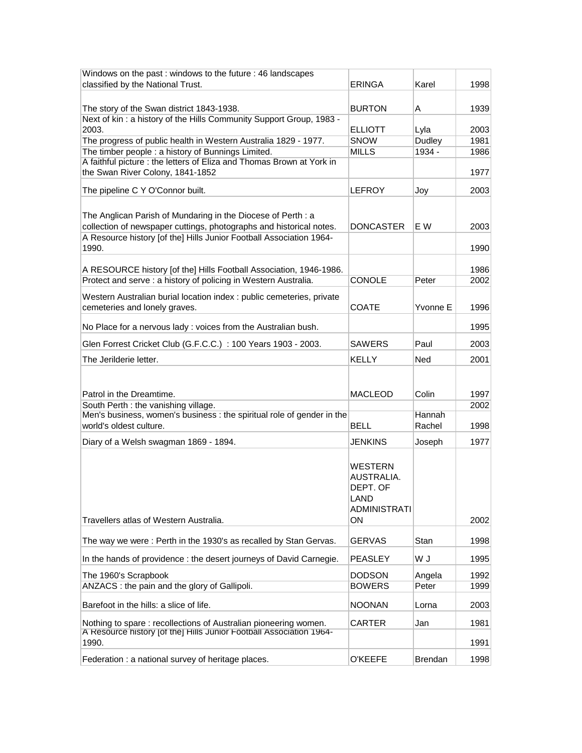| Windows on the past: windows to the future: 46 landscapes                                                                             |                                |                 |              |
|---------------------------------------------------------------------------------------------------------------------------------------|--------------------------------|-----------------|--------------|
| classified by the National Trust.                                                                                                     | <b>ERINGA</b>                  | Karel           | 1998         |
|                                                                                                                                       |                                |                 |              |
| The story of the Swan district 1843-1938.                                                                                             | <b>BURTON</b>                  | Α               | 1939         |
| Next of kin: a history of the Hills Community Support Group, 1983 -                                                                   |                                |                 |              |
| 2003.                                                                                                                                 | <b>ELLIOTT</b>                 | Lyla            | 2003         |
| The progress of public health in Western Australia 1829 - 1977.                                                                       | <b>SNOW</b>                    | Dudley          | 1981         |
| The timber people : a history of Bunnings Limited.<br>A faithful picture : the letters of Eliza and Thomas Brown at York in           | <b>MILLS</b>                   | 1934 -          | 1986         |
| the Swan River Colony, 1841-1852                                                                                                      |                                |                 | 1977         |
|                                                                                                                                       |                                |                 |              |
| The pipeline C Y O'Connor built.                                                                                                      | <b>LEFROY</b>                  | Joy             | 2003         |
|                                                                                                                                       |                                |                 |              |
| The Anglican Parish of Mundaring in the Diocese of Perth : a                                                                          |                                |                 |              |
| collection of newspaper cuttings, photographs and historical notes.                                                                   | <b>DONCASTER</b>               | E W             | 2003         |
| A Resource history [of the] Hills Junior Football Association 1964-                                                                   |                                |                 |              |
| 1990.                                                                                                                                 |                                |                 | 1990         |
|                                                                                                                                       |                                |                 |              |
| A RESOURCE history [of the] Hills Football Association, 1946-1986.<br>Protect and serve : a history of policing in Western Australia. | <b>CONOLE</b>                  |                 | 1986<br>2002 |
|                                                                                                                                       |                                | Peter           |              |
| Western Australian burial location index : public cemeteries, private                                                                 |                                |                 |              |
| cemeteries and lonely graves.                                                                                                         | <b>COATE</b>                   | Yvonne E        | 1996         |
| No Place for a nervous lady: voices from the Australian bush.                                                                         |                                |                 | 1995         |
|                                                                                                                                       |                                |                 |              |
| Glen Forrest Cricket Club (G.F.C.C.) : 100 Years 1903 - 2003.                                                                         | <b>SAWERS</b>                  | Paul            | 2003         |
| The Jerilderie letter.                                                                                                                | <b>KELLY</b>                   | <b>Ned</b>      | 2001         |
|                                                                                                                                       |                                |                 |              |
|                                                                                                                                       |                                |                 |              |
| Patrol in the Dreamtime.                                                                                                              | <b>MACLEOD</b>                 | Colin           | 1997         |
| South Perth : the vanishing village.                                                                                                  |                                |                 | 2002         |
| Men's business, women's business : the spiritual role of gender in the                                                                |                                | Hannah          |              |
| world's oldest culture.                                                                                                               | <b>BELL</b>                    | Rachel          | 1998         |
| Diary of a Welsh swagman 1869 - 1894.                                                                                                 | <b>JENKINS</b>                 | Joseph          | 1977         |
|                                                                                                                                       |                                |                 |              |
|                                                                                                                                       | <b>WESTERN</b>                 |                 |              |
|                                                                                                                                       | AUSTRALIA.                     |                 |              |
|                                                                                                                                       | DEPT. OF                       |                 |              |
|                                                                                                                                       | LAND                           |                 |              |
|                                                                                                                                       | <b>ADMINISTRATI</b>            |                 |              |
| Travellers atlas of Western Australia.                                                                                                | ON                             |                 | 2002         |
|                                                                                                                                       |                                |                 |              |
| The way we were: Perth in the 1930's as recalled by Stan Gervas.                                                                      | <b>GERVAS</b>                  | Stan            | 1998         |
| In the hands of providence : the desert journeys of David Carnegie.                                                                   | <b>PEASLEY</b>                 | W J             | 1995         |
|                                                                                                                                       |                                |                 |              |
| The 1960's Scrapbook<br>ANZACS : the pain and the glory of Gallipoli.                                                                 | <b>DODSON</b><br><b>BOWERS</b> | Angela<br>Peter | 1992<br>1999 |
|                                                                                                                                       |                                |                 |              |
| Barefoot in the hills: a slice of life.                                                                                               | <b>NOONAN</b>                  | Lorna           | 2003         |
| Nothing to spare: recollections of Australian pioneering women.                                                                       | <b>CARTER</b>                  | Jan             | 1981         |
| A Resource history [of the] Hills Junior Football Association 1964-                                                                   |                                |                 |              |
| 1990.                                                                                                                                 |                                |                 | 1991         |
| Federation : a national survey of heritage places.                                                                                    | <b>O'KEEFE</b>                 | Brendan         | 1998         |
|                                                                                                                                       |                                |                 |              |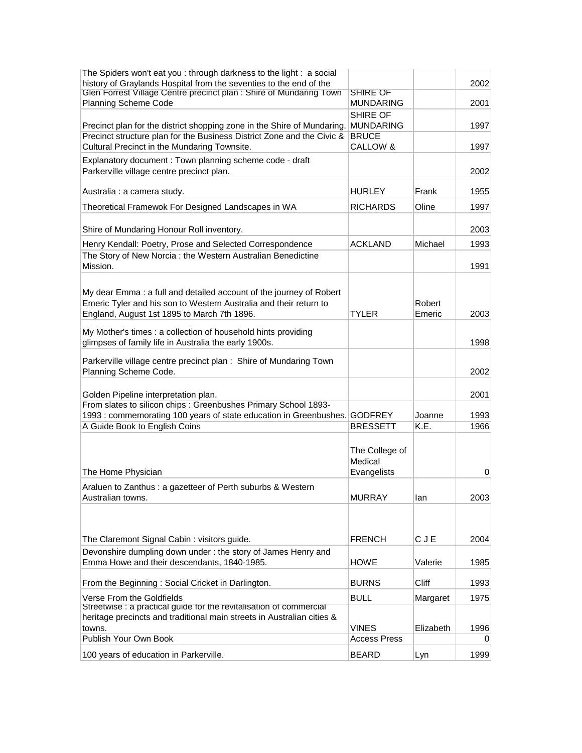| The Spiders won't eat you : through darkness to the light : a social                                       |                     |                |              |
|------------------------------------------------------------------------------------------------------------|---------------------|----------------|--------------|
| history of Graylands Hospital from the seventies to the end of the                                         |                     |                | 2002         |
| Glen Forrest Village Centre precinct plan : Shire of Mundaring Town                                        | <b>SHIRE OF</b>     |                |              |
| Planning Scheme Code                                                                                       | MUNDARING           |                | 2001         |
|                                                                                                            | SHIRE OF            |                |              |
| Precinct plan for the district shopping zone in the Shire of Mundaring.                                    | <b>MUNDARING</b>    |                | 1997         |
| Precinct structure plan for the Business District Zone and the Civic &                                     | <b>BRUCE</b>        |                |              |
| Cultural Precinct in the Mundaring Townsite.                                                               | CALLOW &            |                | 1997         |
| Explanatory document: Town planning scheme code - draft                                                    |                     |                |              |
| Parkerville village centre precinct plan.                                                                  |                     |                | 2002         |
|                                                                                                            |                     |                |              |
| Australia : a camera study.                                                                                | <b>HURLEY</b>       | Frank          | 1955         |
| Theoretical Framewok For Designed Landscapes in WA                                                         | RICHARDS            | Oline          | 1997         |
|                                                                                                            |                     |                |              |
| Shire of Mundaring Honour Roll inventory.                                                                  |                     |                | 2003         |
| Henry Kendall: Poetry, Prose and Selected Correspondence                                                   | <b>ACKLAND</b>      | Michael        | 1993         |
| The Story of New Norcia: the Western Australian Benedictine                                                |                     |                |              |
| Mission.                                                                                                   |                     |                | 1991         |
|                                                                                                            |                     |                |              |
|                                                                                                            |                     |                |              |
| My dear Emma: a full and detailed account of the journey of Robert                                         |                     |                |              |
| Emeric Tyler and his son to Western Australia and their return to                                          |                     | Robert         |              |
| England, August 1st 1895 to March 7th 1896.                                                                | <b>TYLER</b>        | Emeric         | 2003         |
| My Mother's times : a collection of household hints providing                                              |                     |                |              |
| glimpses of family life in Australia the early 1900s.                                                      |                     |                | 1998         |
|                                                                                                            |                     |                |              |
| Parkerville village centre precinct plan: Shire of Mundaring Town                                          |                     |                |              |
| Planning Scheme Code.                                                                                      |                     |                | 2002         |
|                                                                                                            |                     |                |              |
| Golden Pipeline interpretation plan.                                                                       |                     |                | 2001         |
| From slates to silicon chips : Greenbushes Primary School 1893-                                            |                     |                |              |
| 1993 : commemorating 100 years of state education in Greenbushes. GODFREY<br>A Guide Book to English Coins | <b>BRESSETT</b>     | Joanne<br>K.E. | 1993<br>1966 |
|                                                                                                            |                     |                |              |
|                                                                                                            |                     |                |              |
|                                                                                                            | The College of      |                |              |
|                                                                                                            | Medical             |                |              |
| The Home Physician                                                                                         | Evangelists         |                | 0            |
| Araluen to Zanthus : a gazetteer of Perth suburbs & Western                                                |                     |                |              |
| Australian towns.                                                                                          | <b>MURRAY</b>       | lan            | 2003         |
|                                                                                                            |                     |                |              |
|                                                                                                            |                     |                |              |
| The Claremont Signal Cabin: visitors guide.                                                                | <b>FRENCH</b>       | CJE            | 2004         |
| Devonshire dumpling down under: the story of James Henry and                                               |                     |                |              |
| Emma Howe and their descendants, 1840-1985.                                                                | HOWE                | Valerie        | 1985         |
|                                                                                                            |                     |                |              |
| From the Beginning: Social Cricket in Darlington.                                                          | <b>BURNS</b>        | Cliff          | 1993         |
|                                                                                                            |                     |                |              |
| Verse From the Goldfields<br>Streetwise : a practical guide for the revitalisation of commercial           | <b>BULL</b>         | Margaret       | 1975         |
| heritage precincts and traditional main streets in Australian cities &                                     |                     |                |              |
| towns.                                                                                                     | VINES               | Elizabeth      | 1996         |
| Publish Your Own Book                                                                                      | <b>Access Press</b> |                | $\Omega$     |
|                                                                                                            |                     |                |              |
| 100 years of education in Parkerville.                                                                     | <b>BEARD</b>        | Lyn            | 1999         |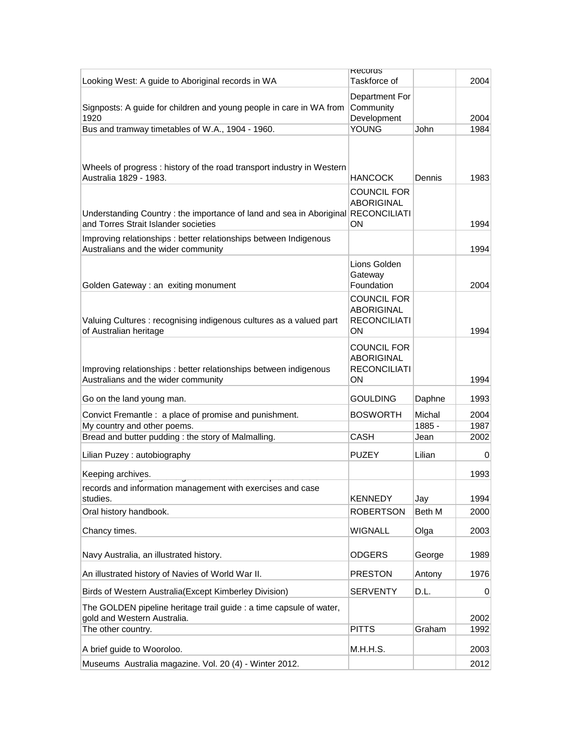|                                                                                   | <b>RECOTOS</b>      |        |                |
|-----------------------------------------------------------------------------------|---------------------|--------|----------------|
| Looking West: A guide to Aboriginal records in WA                                 | Taskforce of        |        | 2004           |
|                                                                                   |                     |        |                |
|                                                                                   | Department For      |        |                |
| Signposts: A guide for children and young people in care in WA from               | Community           |        |                |
| 1920                                                                              | Development         |        | 2004           |
| Bus and tramway timetables of W.A., 1904 - 1960.                                  | <b>YOUNG</b>        | John   | 1984           |
|                                                                                   |                     |        |                |
|                                                                                   |                     |        |                |
| Wheels of progress: history of the road transport industry in Western             |                     |        |                |
| Australia 1829 - 1983.                                                            | <b>HANCOCK</b>      | Dennis | 1983           |
|                                                                                   | <b>COUNCIL FOR</b>  |        |                |
|                                                                                   | <b>ABORIGINAL</b>   |        |                |
| Understanding Country : the importance of land and sea in Aboriginal RECONCILIATI |                     |        |                |
| and Torres Strait Islander societies                                              | ON                  |        | 1994           |
| Improving relationships : better relationships between Indigenous                 |                     |        |                |
| Australians and the wider community                                               |                     |        | 1994           |
|                                                                                   |                     |        |                |
|                                                                                   | Lions Golden        |        |                |
|                                                                                   | Gateway             |        |                |
| Golden Gateway : an exiting monument                                              | Foundation          |        | 2004           |
|                                                                                   | <b>COUNCIL FOR</b>  |        |                |
|                                                                                   | <b>ABORIGINAL</b>   |        |                |
| Valuing Cultures : recognising indigenous cultures as a valued part               | <b>RECONCILIATI</b> |        |                |
| of Australian heritage                                                            | ON                  |        | 1994           |
|                                                                                   |                     |        |                |
|                                                                                   | <b>COUNCIL FOR</b>  |        |                |
|                                                                                   | <b>ABORIGINAL</b>   |        |                |
| Improving relationships : better relationships between indigenous                 | <b>RECONCILIATI</b> |        |                |
| Australians and the wider community                                               | ON                  |        | 1994           |
| Go on the land young man.                                                         | <b>GOULDING</b>     | Daphne | 1993           |
|                                                                                   |                     |        |                |
| Convict Fremantle : a place of promise and punishment.                            | <b>BOSWORTH</b>     | Michal | 2004           |
| My country and other poems.                                                       |                     | 1885 - | 1987           |
| Bread and butter pudding: the story of Malmalling.                                | <b>CASH</b>         | Jean   | 2002           |
| Lilian Puzey: autobiography                                                       | <b>PUZEY</b>        | Lilian | $\overline{0}$ |
|                                                                                   |                     |        |                |
| Keeping archives.                                                                 |                     |        | 1993           |
| records and information management with exercises and case                        |                     |        |                |
| studies.                                                                          | <b>KENNEDY</b>      | Jay    | 1994           |
|                                                                                   |                     | Beth M | 2000           |
| Oral history handbook.                                                            | <b>ROBERTSON</b>    |        |                |
| Chancy times.                                                                     | <b>WIGNALL</b>      | Olga   | 2003           |
|                                                                                   |                     |        |                |
|                                                                                   |                     |        |                |
| Navy Australia, an illustrated history.                                           | <b>ODGERS</b>       | George | 1989           |
| An illustrated history of Navies of World War II.                                 | <b>PRESTON</b>      | Antony | 1976           |
|                                                                                   |                     |        |                |
| Birds of Western Australia(Except Kimberley Division)                             | <b>SERVENTY</b>     | D.L.   | $\overline{0}$ |
| The GOLDEN pipeline heritage trail guide : a time capsule of water,               |                     |        |                |
| gold and Western Australia.                                                       |                     |        | 2002           |
| The other country.                                                                | <b>PITTS</b>        | Graham | 1992           |
|                                                                                   |                     |        |                |
| A brief guide to Wooroloo.                                                        | M.H.H.S.            |        | 2003           |
| Museums Australia magazine. Vol. 20 (4) - Winter 2012.                            |                     |        | 2012           |
|                                                                                   |                     |        |                |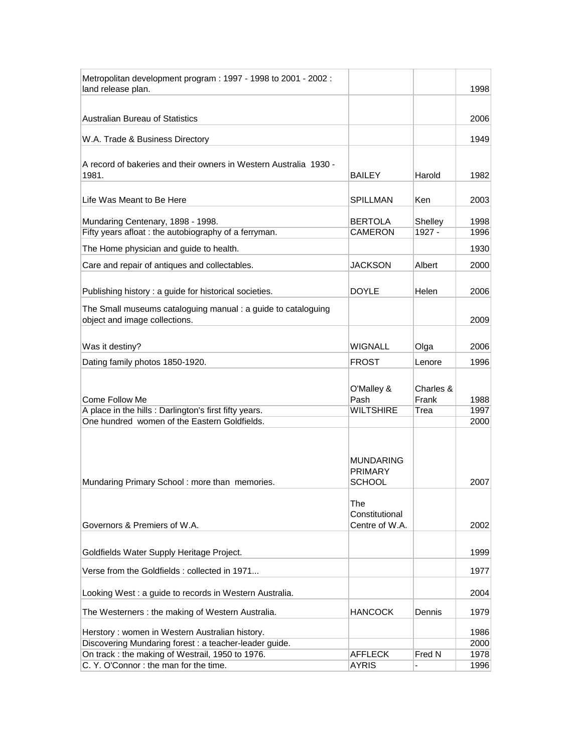| Metropolitan development program: 1997 - 1998 to 2001 - 2002:                                            |                  |           |              |
|----------------------------------------------------------------------------------------------------------|------------------|-----------|--------------|
| land release plan.                                                                                       |                  |           | 1998         |
|                                                                                                          |                  |           |              |
| Australian Bureau of Statistics                                                                          |                  |           | 2006         |
| W.A. Trade & Business Directory                                                                          |                  |           | 1949         |
|                                                                                                          |                  |           |              |
| A record of bakeries and their owners in Western Australia 1930 -<br>1981.                               |                  |           |              |
|                                                                                                          | BAILEY           | Harold    | 1982         |
| Life Was Meant to Be Here                                                                                | <b>SPILLMAN</b>  | Ken       | 2003         |
|                                                                                                          |                  |           |              |
| Mundaring Centenary, 1898 - 1998.                                                                        | <b>BERTOLA</b>   | Shelley   | 1998         |
| Fifty years afloat : the autobiography of a ferryman.                                                    | <b>CAMERON</b>   | 1927 -    | 1996         |
| The Home physician and guide to health.                                                                  |                  |           | 1930         |
| Care and repair of antiques and collectables.                                                            | <b>JACKSON</b>   | Albert    | 2000         |
|                                                                                                          |                  |           |              |
| Publishing history : a guide for historical societies.                                                   | DOYLE            | Helen     | 2006         |
| The Small museums cataloguing manual : a guide to cataloguing                                            |                  |           |              |
| object and image collections.                                                                            |                  |           | 2009         |
|                                                                                                          |                  |           |              |
| Was it destiny?                                                                                          | <b>WIGNALL</b>   | Olga      | 2006         |
| Dating family photos 1850-1920.                                                                          | <b>FROST</b>     | Lenore    | 1996         |
|                                                                                                          |                  |           |              |
|                                                                                                          | O'Malley &       | Charles & |              |
| Come Follow Me                                                                                           | Pash             | Frank     | 1988         |
| A place in the hills : Darlington's first fifty years.                                                   | <b>WILTSHIRE</b> | Trea      | 1997         |
| One hundred women of the Eastern Goldfields.                                                             |                  |           | 2000         |
|                                                                                                          |                  |           |              |
|                                                                                                          |                  |           |              |
|                                                                                                          | MUNDARING        |           |              |
|                                                                                                          | <b>PRIMARY</b>   |           |              |
| Mundaring Primary School: more than memories.                                                            | <b>SCHOOL</b>    |           | 2007         |
|                                                                                                          | The              |           |              |
|                                                                                                          | Constitutional   |           |              |
| Governors & Premiers of W.A.                                                                             | Centre of W.A.   |           | 2002         |
|                                                                                                          |                  |           |              |
| Goldfields Water Supply Heritage Project.                                                                |                  |           | 1999         |
| Verse from the Goldfields : collected in 1971                                                            |                  |           | 1977         |
|                                                                                                          |                  |           |              |
| Looking West : a guide to records in Western Australia.                                                  |                  |           | 2004         |
| The Westerners: the making of Western Australia.                                                         | <b>HANCOCK</b>   | Dennis    | 1979         |
|                                                                                                          |                  |           | 1986         |
| Herstory: women in Western Australian history.<br>Discovering Mundaring forest : a teacher-leader guide. |                  |           |              |
|                                                                                                          |                  |           |              |
| On track : the making of Westrail, 1950 to 1976.                                                         | <b>AFFLECK</b>   | Fred N    | 2000<br>1978 |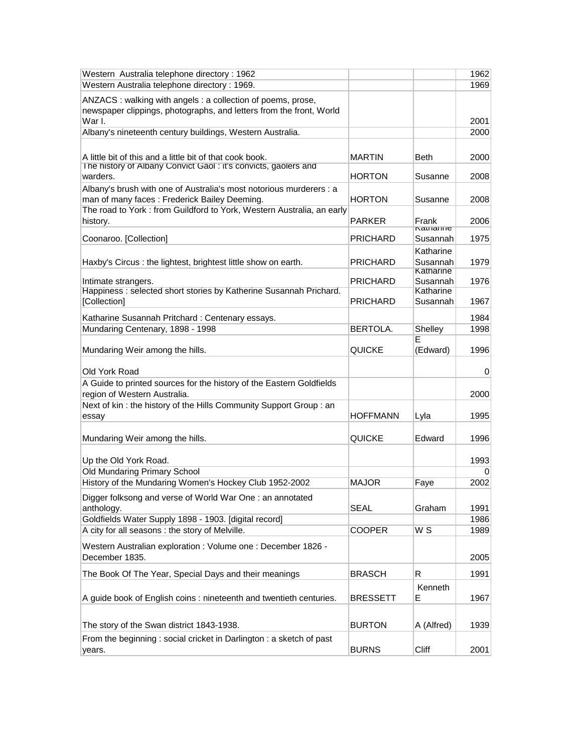| Western Australia telephone directory : 1962                                                                                                                                                 |                 |                                    | 1962 |
|----------------------------------------------------------------------------------------------------------------------------------------------------------------------------------------------|-----------------|------------------------------------|------|
| Western Australia telephone directory: 1969.                                                                                                                                                 |                 |                                    | 1969 |
| ANZACS: walking with angels: a collection of poems, prose,<br>newspaper clippings, photographs, and letters from the front, World                                                            |                 |                                    |      |
| War I.                                                                                                                                                                                       |                 |                                    | 2001 |
| Albany's nineteenth century buildings, Western Australia.                                                                                                                                    |                 |                                    | 2000 |
| A little bit of this and a little bit of that cook book.<br>The history of Albany Convict Gaol: it's convicts, gaolers and                                                                   | <b>MARTIN</b>   | Beth                               | 2000 |
| warders.                                                                                                                                                                                     | HORTON          | Susanne                            | 2008 |
| Albany's brush with one of Australia's most notorious murderers : a<br>man of many faces: Frederick Bailey Deeming.<br>The road to York: from Guildford to York, Western Australia, an early | HORTON          | Susanne                            | 2008 |
| history.                                                                                                                                                                                     | PARKER          | Frank                              | 2006 |
|                                                                                                                                                                                              |                 | <b>Natilalitie</b>                 |      |
| Coonaroo. [Collection]                                                                                                                                                                       | <b>PRICHARD</b> | Susannah                           | 1975 |
| Haxby's Circus: the lightest, brightest little show on earth.                                                                                                                                | PRICHARD        | Katharine<br>Susannah<br>Katharine | 1979 |
| Intimate strangers.                                                                                                                                                                          | PRICHARD        | Susannah                           | 1976 |
| Happiness: selected short stories by Katherine Susannah Prichard.<br>[Collection]                                                                                                            | PRICHARD        | Katharine<br>Susannah              | 1967 |
| Katharine Susannah Pritchard: Centenary essays.                                                                                                                                              |                 |                                    | 1984 |
| Mundaring Centenary, 1898 - 1998                                                                                                                                                             | BERTOLA.        | Shelley                            | 1998 |
| Mundaring Weir among the hills.                                                                                                                                                              | <b>QUICKE</b>   | E<br>(Edward)                      | 1996 |
| Old York Road                                                                                                                                                                                |                 |                                    | 0    |
| A Guide to printed sources for the history of the Eastern Goldfields                                                                                                                         |                 |                                    |      |
| region of Western Australia.                                                                                                                                                                 |                 |                                    | 2000 |
| Next of kin: the history of the Hills Community Support Group: an                                                                                                                            | <b>HOFFMANN</b> |                                    | 1995 |
| essay                                                                                                                                                                                        |                 | Lyla                               |      |
| Mundaring Weir among the hills.                                                                                                                                                              | QUICKE          | Edward                             | 1996 |
| Up the Old York Road.                                                                                                                                                                        |                 |                                    | 1993 |
| Old Mundaring Primary School                                                                                                                                                                 | <b>MAJOR</b>    |                                    | 0    |
| History of the Mundaring Women's Hockey Club 1952-2002                                                                                                                                       |                 | Faye                               | 2002 |
| Digger folksong and verse of World War One : an annotated<br>anthology.                                                                                                                      | <b>SEAL</b>     | Graham                             | 1991 |
| Goldfields Water Supply 1898 - 1903. [digital record]                                                                                                                                        |                 |                                    | 1986 |
| A city for all seasons : the story of Melville.                                                                                                                                              | <b>COOPER</b>   | $\overline{W}$ S                   | 1989 |
| Western Australian exploration : Volume one : December 1826 -<br>December 1835.                                                                                                              |                 |                                    | 2005 |
| The Book Of The Year, Special Days and their meanings                                                                                                                                        | <b>BRASCH</b>   | R                                  | 1991 |
| A guide book of English coins : nineteenth and twentieth centuries.                                                                                                                          | <b>BRESSETT</b> | Kenneth<br>Е                       | 1967 |
|                                                                                                                                                                                              |                 |                                    |      |
| The story of the Swan district 1843-1938.                                                                                                                                                    | <b>BURTON</b>   | A (Alfred)                         | 1939 |
| From the beginning: social cricket in Darlington: a sketch of past                                                                                                                           |                 |                                    |      |
| years.                                                                                                                                                                                       | <b>BURNS</b>    | Cliff                              | 2001 |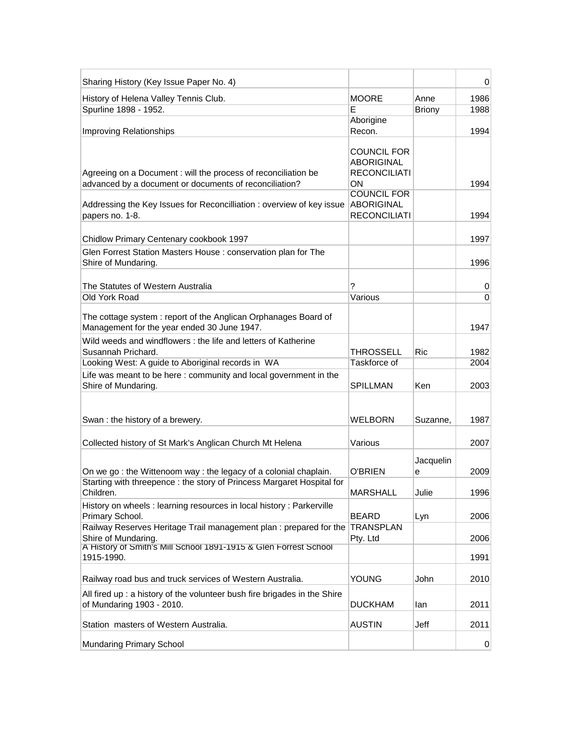| Sharing History (Key Issue Paper No. 4)                                                                                                                                 |                                                                                            |                | 0        |
|-------------------------------------------------------------------------------------------------------------------------------------------------------------------------|--------------------------------------------------------------------------------------------|----------------|----------|
| History of Helena Valley Tennis Club.                                                                                                                                   | <b>MOORE</b>                                                                               | Anne           | 1986     |
| Spurline 1898 - 1952.                                                                                                                                                   | Е                                                                                          | <b>Briony</b>  | 1988     |
| Improving Relationships                                                                                                                                                 | Aborigine<br>Recon.                                                                        |                | 1994     |
| Agreeing on a Document : will the process of reconciliation be<br>advanced by a document or documents of reconciliation?                                                | <b>COUNCIL FOR</b><br><b>ABORIGINAL</b><br><b>RECONCILIATI</b><br>ON<br><b>COUNCIL FOR</b> |                | 1994     |
| Addressing the Key Issues for Reconcilliation: overview of key issue<br>papers no. 1-8.                                                                                 | <b>ABORIGINAL</b><br><b>RECONCILIATI</b>                                                   |                | 1994     |
| Chidlow Primary Centenary cookbook 1997                                                                                                                                 |                                                                                            |                | 1997     |
| Glen Forrest Station Masters House: conservation plan for The<br>Shire of Mundaring.                                                                                    |                                                                                            |                | 1996     |
| The Statutes of Western Australia                                                                                                                                       | ?                                                                                          |                | 0        |
| Old York Road                                                                                                                                                           | Various                                                                                    |                | $\Omega$ |
| The cottage system: report of the Anglican Orphanages Board of<br>Management for the year ended 30 June 1947.                                                           |                                                                                            |                | 1947     |
| Wild weeds and windflowers: the life and letters of Katherine<br>Susannah Prichard.                                                                                     | <b>THROSSELL</b>                                                                           | <b>Ric</b>     | 1982     |
| Looking West: A guide to Aboriginal records in WA                                                                                                                       | Taskforce of                                                                               |                | 2004     |
| Life was meant to be here: community and local government in the<br>Shire of Mundaring.                                                                                 | <b>SPILLMAN</b>                                                                            | Ken            | 2003     |
| Swan: the history of a brewery.                                                                                                                                         | <b>WELBORN</b>                                                                             | Suzanne,       | 1987     |
| Collected history of St Mark's Anglican Church Mt Helena                                                                                                                | Various                                                                                    |                | 2007     |
| On we go: the Wittenoom way: the legacy of a colonial chaplain.                                                                                                         | <b>O'BRIEN</b>                                                                             | Jacquelin<br>е | 2009     |
| Starting with threepence : the story of Princess Margaret Hospital for<br>Children.                                                                                     | MARSHALL                                                                                   | Julie          | 1996     |
| History on wheels: learning resources in local history: Parkerville<br>Primary School.                                                                                  | <b>BEARD</b>                                                                               | Lyn            | 2006     |
| Railway Reserves Heritage Trail management plan : prepared for the TRANSPLAN<br>Shire of Mundaring.<br>A History of Smith's Mill School 1891-1915 & Glen Forrest School | Pty. Ltd                                                                                   |                | 2006     |
| 1915-1990.                                                                                                                                                              |                                                                                            |                | 1991     |
| Railway road bus and truck services of Western Australia.                                                                                                               | <b>YOUNG</b>                                                                               | John           | 2010     |
| All fired up : a history of the volunteer bush fire brigades in the Shire<br>of Mundaring 1903 - 2010.                                                                  | <b>DUCKHAM</b>                                                                             | lan            | 2011     |
| Station masters of Western Australia.                                                                                                                                   | <b>AUSTIN</b>                                                                              | Jeff           | 2011     |
| Mundaring Primary School                                                                                                                                                |                                                                                            |                | 0        |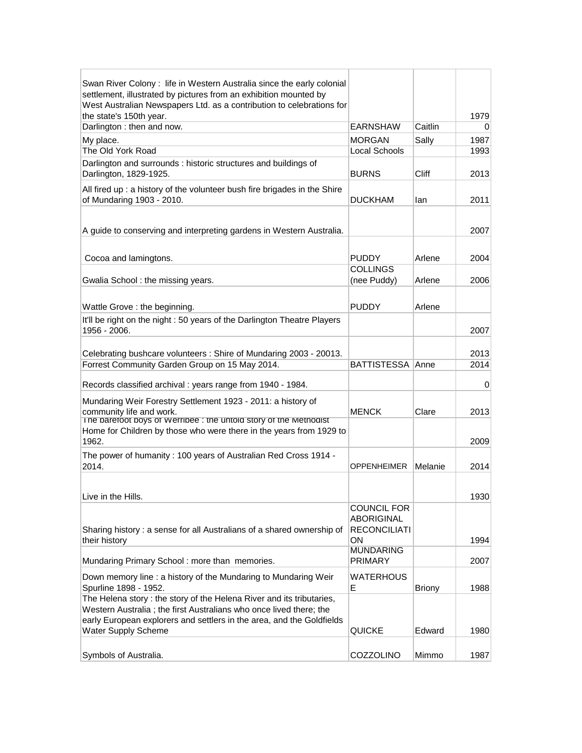| Swan River Colony: life in Western Australia since the early colonial<br>settlement, illustrated by pictures from an exhibition mounted by |                         |               |      |
|--------------------------------------------------------------------------------------------------------------------------------------------|-------------------------|---------------|------|
| West Australian Newspapers Ltd. as a contribution to celebrations for                                                                      |                         |               |      |
| the state's 150th year.                                                                                                                    |                         |               | 1979 |
| Darlington: then and now.                                                                                                                  | <b>EARNSHAW</b>         | Caitlin       | 0    |
| My place.                                                                                                                                  | <b>MORGAN</b>           | Sally         | 1987 |
| The Old York Road                                                                                                                          | <b>Local Schools</b>    |               | 1993 |
| Darlington and surrounds : historic structures and buildings of                                                                            |                         |               |      |
| Darlington, 1829-1925.                                                                                                                     | <b>BURNS</b>            | Cliff         | 2013 |
| All fired up : a history of the volunteer bush fire brigades in the Shire                                                                  |                         |               |      |
| of Mundaring 1903 - 2010.                                                                                                                  | <b>DUCKHAM</b>          | lan           | 2011 |
|                                                                                                                                            |                         |               |      |
|                                                                                                                                            |                         |               |      |
| A guide to conserving and interpreting gardens in Western Australia.                                                                       |                         |               | 2007 |
|                                                                                                                                            |                         |               |      |
| Cocoa and lamingtons.                                                                                                                      | <b>PUDDY</b>            | Arlene        | 2004 |
|                                                                                                                                            | <b>COLLINGS</b>         |               |      |
| Gwalia School: the missing years.                                                                                                          | (nee Puddy)             | Arlene        | 2006 |
|                                                                                                                                            |                         |               |      |
| Wattle Grove: the beginning.                                                                                                               | <b>PUDDY</b>            | Arlene        |      |
| It'll be right on the night : 50 years of the Darlington Theatre Players                                                                   |                         |               |      |
| 1956 - 2006.                                                                                                                               |                         |               | 2007 |
|                                                                                                                                            |                         |               |      |
| Celebrating bushcare volunteers: Shire of Mundaring 2003 - 20013.                                                                          |                         |               | 2013 |
| Forrest Community Garden Group on 15 May 2014.                                                                                             | <b>BATTISTESSA Anne</b> |               | 2014 |
|                                                                                                                                            |                         |               |      |
| Records classified archival : years range from 1940 - 1984.                                                                                |                         |               | 0    |
| Mundaring Weir Forestry Settlement 1923 - 2011: a history of                                                                               |                         |               |      |
| community life and work.                                                                                                                   | <b>MENCK</b>            | Clare         | 2013 |
| The barefoot boys of Werribee : the untold story of the Methodist                                                                          |                         |               |      |
| Home for Children by those who were there in the years from 1929 to<br>1962.                                                               |                         |               |      |
|                                                                                                                                            |                         |               | 2009 |
| The power of humanity: 100 years of Australian Red Cross 1914 -                                                                            |                         |               |      |
| 2014.                                                                                                                                      | <b>OPPENHEIMER</b>      | Melanie       | 2014 |
|                                                                                                                                            |                         |               |      |
| Live in the Hills.                                                                                                                         |                         |               | 1930 |
|                                                                                                                                            | <b>COUNCIL FOR</b>      |               |      |
|                                                                                                                                            | <b>ABORIGINAL</b>       |               |      |
| Sharing history : a sense for all Australians of a shared ownership of                                                                     | <b>RECONCILIATI</b>     |               |      |
| their history                                                                                                                              | ΟN                      |               | 1994 |
|                                                                                                                                            | <b>MUNDARING</b>        |               |      |
| Mundaring Primary School: more than memories.                                                                                              | <b>PRIMARY</b>          |               | 2007 |
| Down memory line : a history of the Mundaring to Mundaring Weir                                                                            | <b>WATERHOUS</b>        |               |      |
| Spurline 1898 - 1952.                                                                                                                      | E                       | <b>Briony</b> | 1988 |
| The Helena story : the story of the Helena River and its tributaries,                                                                      |                         |               |      |
| Western Australia; the first Australians who once lived there; the                                                                         |                         |               |      |
| early European explorers and settlers in the area, and the Goldfields                                                                      |                         |               |      |
| <b>Water Supply Scheme</b>                                                                                                                 | <b>QUICKE</b>           | Edward        | 1980 |
|                                                                                                                                            |                         |               |      |
| Symbols of Australia.                                                                                                                      | COZZOLINO               | Mimmo         | 1987 |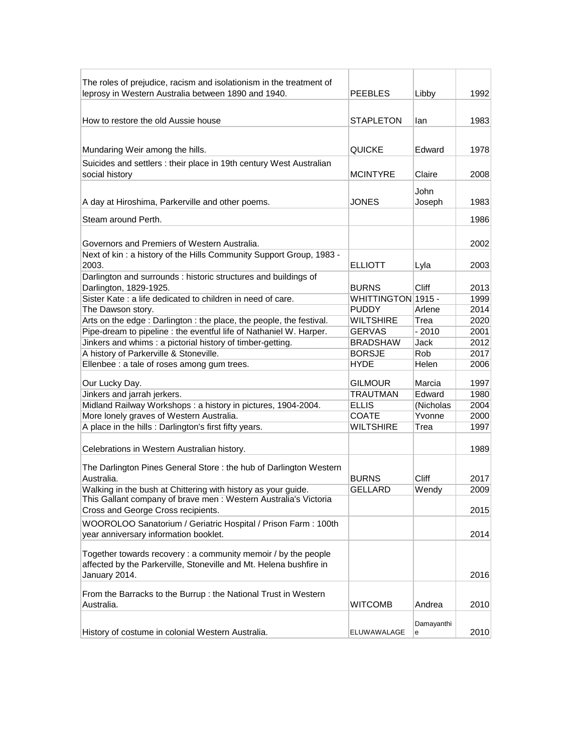| The roles of prejudice, racism and isolationism in the treatment of |                    |              |      |
|---------------------------------------------------------------------|--------------------|--------------|------|
| leprosy in Western Australia between 1890 and 1940.                 | PEEBLES            | Libby        | 1992 |
|                                                                     |                    |              |      |
| How to restore the old Aussie house                                 | <b>STAPLETON</b>   | lan          | 1983 |
|                                                                     |                    |              |      |
|                                                                     |                    |              |      |
| Mundaring Weir among the hills.                                     | QUICKE             | Edward       | 1978 |
| Suicides and settlers : their place in 19th century West Australian |                    |              |      |
| social history                                                      | <b>MCINTYRE</b>    | Claire       | 2008 |
|                                                                     |                    | John         |      |
| A day at Hiroshima, Parkerville and other poems.                    | JONES              | Joseph       | 1983 |
|                                                                     |                    |              |      |
| Steam around Perth.                                                 |                    |              | 1986 |
|                                                                     |                    |              |      |
| Governors and Premiers of Western Australia.                        |                    |              | 2002 |
| Next of kin: a history of the Hills Community Support Group, 1983 - |                    |              |      |
| 2003.                                                               | <b>ELLIOTT</b>     | Lyla         | 2003 |
| Darlington and surrounds : historic structures and buildings of     |                    |              |      |
| Darlington, 1829-1925.                                              | <b>BURNS</b>       | <b>Cliff</b> | 2013 |
| Sister Kate: a life dedicated to children in need of care.          | WHITTINGTON 1915 - |              | 1999 |
| The Dawson story.                                                   | <b>PUDDY</b>       | Arlene       | 2014 |
| Arts on the edge: Darlington: the place, the people, the festival.  | <b>WILTSHIRE</b>   | Trea         | 2020 |
| Pipe-dream to pipeline : the eventful life of Nathaniel W. Harper.  | <b>GERVAS</b>      | $-2010$      | 2001 |
| Jinkers and whims : a pictorial history of timber-getting.          | <b>BRADSHAW</b>    | Jack         | 2012 |
| A history of Parkerville & Stoneville.                              | <b>BORSJE</b>      | Rob          | 2017 |
| Ellenbee : a tale of roses among gum trees.                         | <b>HYDE</b>        | Helen        | 2006 |
|                                                                     |                    |              |      |
| Our Lucky Day.                                                      | <b>GILMOUR</b>     | Marcia       | 1997 |
| Jinkers and jarrah jerkers.                                         | <b>TRAUTMAN</b>    | Edward       | 1980 |
| Midland Railway Workshops: a history in pictures, 1904-2004.        | <b>ELLIS</b>       | (Nicholas    | 2004 |
| More lonely graves of Western Australia.                            | <b>COATE</b>       | Yvonne       | 2000 |
| A place in the hills : Darlington's first fifty years.              | <b>WILTSHIRE</b>   | Trea         | 1997 |
|                                                                     |                    |              |      |
| Celebrations in Western Australian history.                         |                    |              | 1989 |
| The Darlington Pines General Store: the hub of Darlington Western   |                    |              |      |
| Australia.                                                          | <b>BURNS</b>       | Cliff        | 2017 |
| Walking in the bush at Chittering with history as your guide.       | <b>GELLARD</b>     | Wendy        | 2009 |
| This Gallant company of brave men : Western Australia's Victoria    |                    |              |      |
| Cross and George Cross recipients.                                  |                    |              | 2015 |
| WOOROLOO Sanatorium / Geriatric Hospital / Prison Farm: 100th       |                    |              |      |
| year anniversary information booklet.                               |                    |              | 2014 |
|                                                                     |                    |              |      |
| Together towards recovery : a community memoir / by the people      |                    |              |      |
| affected by the Parkerville, Stoneville and Mt. Helena bushfire in  |                    |              |      |
| January 2014.                                                       |                    |              | 2016 |
|                                                                     |                    |              |      |
| From the Barracks to the Burrup : the National Trust in Western     |                    |              |      |
| Australia.                                                          | WITCOMB            | Andrea       | 2010 |
|                                                                     |                    | Damayanthi   |      |
| History of costume in colonial Western Australia.                   | ELUWAWALAGE        | е            | 2010 |
|                                                                     |                    |              |      |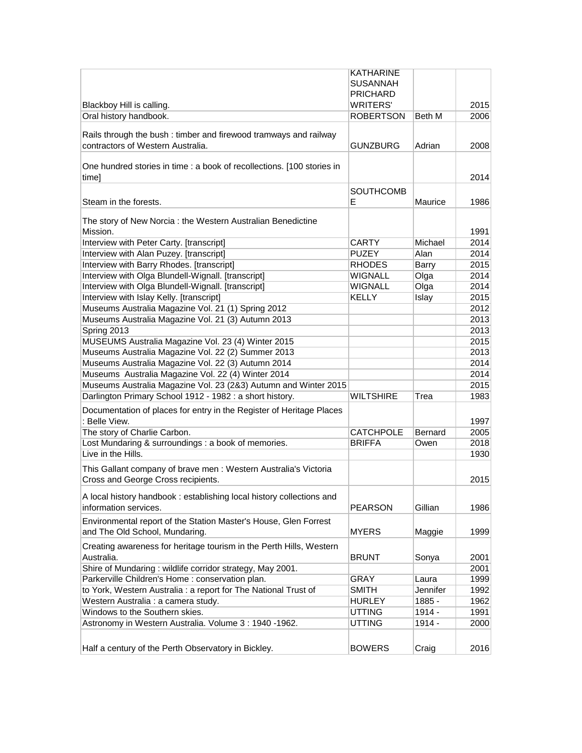|                                                                        | <b>KATHARINE</b> |          |      |
|------------------------------------------------------------------------|------------------|----------|------|
|                                                                        | <b>SUSANNAH</b>  |          |      |
|                                                                        | <b>PRICHARD</b>  |          |      |
| Blackboy Hill is calling.                                              | <b>WRITERS'</b>  |          | 2015 |
| Oral history handbook.                                                 | <b>ROBERTSON</b> | Beth M   | 2006 |
|                                                                        |                  |          |      |
| Rails through the bush: timber and firewood tramways and railway       |                  |          |      |
| contractors of Western Australia.                                      | <b>GUNZBURG</b>  | Adrian   | 2008 |
|                                                                        |                  |          |      |
| One hundred stories in time : a book of recollections. [100 stories in |                  |          |      |
| time]                                                                  |                  |          | 2014 |
|                                                                        | <b>SOUTHCOMB</b> |          |      |
| Steam in the forests.                                                  | Е                | Maurice  | 1986 |
|                                                                        |                  |          |      |
| The story of New Norcia: the Western Australian Benedictine            |                  |          |      |
| Mission.                                                               |                  |          | 1991 |
| Interview with Peter Carty. [transcript]                               | <b>CARTY</b>     | Michael  | 2014 |
| Interview with Alan Puzey. [transcript]                                | <b>PUZEY</b>     | Alan     | 2014 |
| Interview with Barry Rhodes. [transcript]                              | <b>RHODES</b>    | Barry    | 2015 |
| Interview with Olga Blundell-Wignall. [transcript]                     | <b>WIGNALL</b>   | Olga     | 2014 |
| Interview with Olga Blundell-Wignall. [transcript]                     | WIGNALL          | Olga     | 2014 |
| Interview with Islay Kelly. [transcript]                               | <b>KELLY</b>     | Islay    | 2015 |
| Museums Australia Magazine Vol. 21 (1) Spring 2012                     |                  |          | 2012 |
| Museums Australia Magazine Vol. 21 (3) Autumn 2013                     |                  |          | 2013 |
|                                                                        |                  |          |      |
| Spring 2013                                                            |                  |          | 2013 |
| MUSEUMS Australia Magazine Vol. 23 (4) Winter 2015                     |                  |          | 2015 |
| Museums Australia Magazine Vol. 22 (2) Summer 2013                     |                  |          | 2013 |
| Museums Australia Magazine Vol. 22 (3) Autumn 2014                     |                  |          | 2014 |
| Museums Australia Magazine Vol. 22 (4) Winter 2014                     |                  |          | 2014 |
| Museums Australia Magazine Vol. 23 (2&3) Autumn and Winter 2015        |                  |          | 2015 |
| Darlington Primary School 1912 - 1982 : a short history.               | <b>WILTSHIRE</b> | Trea     | 1983 |
| Documentation of places for entry in the Register of Heritage Places   |                  |          |      |
| : Belle View.                                                          |                  |          | 1997 |
| The story of Charlie Carbon.                                           | <b>CATCHPOLE</b> | Bernard  | 2005 |
| Lost Mundaring & surroundings : a book of memories.                    | <b>BRIFFA</b>    | Owen     | 2018 |
| Live in the Hills.                                                     |                  |          | 1930 |
|                                                                        |                  |          |      |
| This Gallant company of brave men : Western Australia's Victoria       |                  |          |      |
| Cross and George Cross recipients.                                     |                  |          | 2015 |
| A local history handbook: establishing local history collections and   |                  |          |      |
| information services.                                                  | <b>PEARSON</b>   | Gillian  | 1986 |
|                                                                        |                  |          |      |
| Environmental report of the Station Master's House, Glen Forrest       |                  |          |      |
| and The Old School, Mundaring.                                         | <b>MYERS</b>     | Maggie   | 1999 |
| Creating awareness for heritage tourism in the Perth Hills, Western    |                  |          |      |
| Australia.                                                             | <b>BRUNT</b>     | Sonya    | 2001 |
| Shire of Mundaring: wildlife corridor strategy, May 2001.              |                  |          | 2001 |
| Parkerville Children's Home : conservation plan.                       | GRAY             | Laura    | 1999 |
| to York, Western Australia : a report for The National Trust of        | <b>SMITH</b>     | Jennifer | 1992 |
| Western Australia : a camera study.                                    | <b>HURLEY</b>    | 1885 -   | 1962 |
| Windows to the Southern skies.                                         | <b>UTTING</b>    | 1914 -   | 1991 |
| Astronomy in Western Australia. Volume 3: 1940 -1962.                  | <b>UTTING</b>    | 1914 -   | 2000 |
|                                                                        |                  |          |      |
|                                                                        |                  |          |      |
| Half a century of the Perth Observatory in Bickley.                    | <b>BOWERS</b>    | Craig    | 2016 |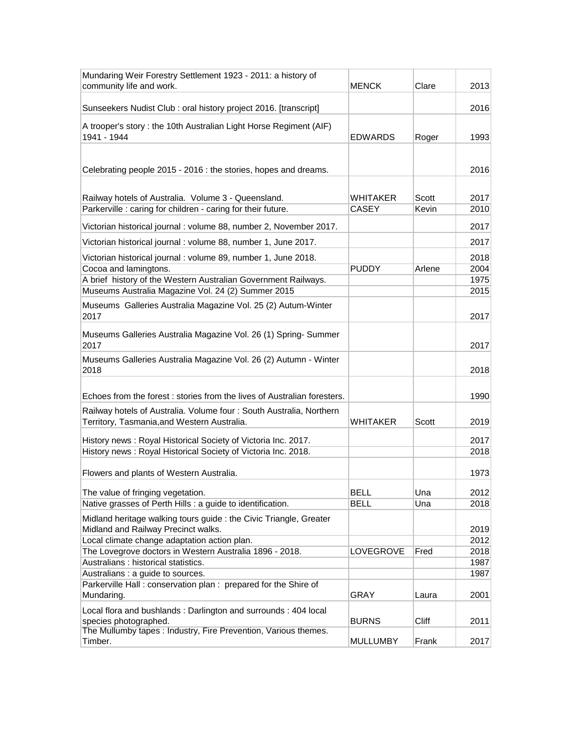| Mundaring Weir Forestry Settlement 1923 - 2011: a history of<br>community life and work.                           | MENCK           | Clare  | 2013 |
|--------------------------------------------------------------------------------------------------------------------|-----------------|--------|------|
|                                                                                                                    |                 |        |      |
| Sunseekers Nudist Club: oral history project 2016. [transcript]                                                    |                 |        | 2016 |
| A trooper's story: the 10th Australian Light Horse Regiment (AIF)<br>1941 - 1944                                   | EDWARDS         | Roger  | 1993 |
|                                                                                                                    |                 |        |      |
| Celebrating people 2015 - 2016 : the stories, hopes and dreams.                                                    |                 |        | 2016 |
| Railway hotels of Australia. Volume 3 - Queensland.                                                                | WHITAKER        | Scott  | 2017 |
| Parkerville : caring for children - caring for their future.                                                       | CASEY           | Kevin  | 2010 |
| Victorian historical journal : volume 88, number 2, November 2017.                                                 |                 |        | 2017 |
| Victorian historical journal : volume 88, number 1, June 2017.                                                     |                 |        | 2017 |
| Victorian historical journal : volume 89, number 1, June 2018.                                                     |                 |        | 2018 |
| Cocoa and lamingtons.                                                                                              | <b>PUDDY</b>    | Arlene | 2004 |
| A brief history of the Western Australian Government Railways.                                                     |                 |        | 1975 |
| Museums Australia Magazine Vol. 24 (2) Summer 2015                                                                 |                 |        | 2015 |
| Museums Galleries Australia Magazine Vol. 25 (2) Autum-Winter<br>2017                                              |                 |        | 2017 |
| Museums Galleries Australia Magazine Vol. 26 (1) Spring-Summer<br>2017                                             |                 |        | 2017 |
| Museums Galleries Australia Magazine Vol. 26 (2) Autumn - Winter<br>2018                                           |                 |        | 2018 |
| Echoes from the forest : stories from the lives of Australian foresters.                                           |                 |        | 1990 |
| Railway hotels of Australia. Volume four: South Australia, Northern<br>Territory, Tasmania, and Western Australia. | WHITAKER        | Scott  | 2019 |
| History news: Royal Historical Society of Victoria Inc. 2017.                                                      |                 |        | 2017 |
| History news: Royal Historical Society of Victoria Inc. 2018.                                                      |                 |        | 2018 |
| Flowers and plants of Western Australia.                                                                           |                 |        | 1973 |
| The value of fringing vegetation.                                                                                  | BELL            | Una    | 2012 |
| Native grasses of Perth Hills : a guide to identification.                                                         | <b>BELL</b>     | Una    | 2018 |
| Midland heritage walking tours guide : the Civic Triangle, Greater                                                 |                 |        | 2019 |
| Midland and Railway Precinct walks.<br>Local climate change adaptation action plan.                                |                 |        | 2012 |
| The Lovegrove doctors in Western Australia 1896 - 2018.                                                            | LOVEGROVE       | Fred   | 2018 |
| Australians : historical statistics.                                                                               |                 |        | 1987 |
| Australians : a guide to sources.                                                                                  |                 |        | 1987 |
| Parkerville Hall: conservation plan: prepared for the Shire of<br>Mundaring.                                       | GRAY            | Laura  | 2001 |
| Local flora and bushlands: Darlington and surrounds: 404 local<br>species photographed.                            | <b>BURNS</b>    | Cliff  | 2011 |
| The Mullumby tapes: Industry, Fire Prevention, Various themes.<br>Timber.                                          | <b>MULLUMBY</b> | Frank  | 2017 |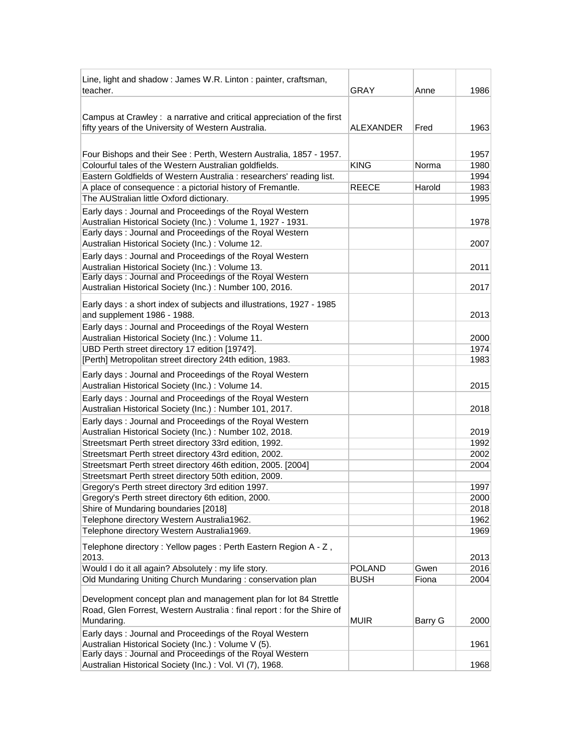| Line, light and shadow: James W.R. Linton: painter, craftsman,          |               |         |      |
|-------------------------------------------------------------------------|---------------|---------|------|
| teacher.                                                                | GRAY          | Anne    | 1986 |
|                                                                         |               |         |      |
| Campus at Crawley: a narrative and critical appreciation of the first   |               |         |      |
| fifty years of the University of Western Australia.                     | ALEXANDER     | Fred    | 1963 |
|                                                                         |               |         |      |
| Four Bishops and their See: Perth, Western Australia, 1857 - 1957.      |               |         | 1957 |
| Colourful tales of the Western Australian goldfields.                   | <b>KING</b>   | Norma   | 1980 |
| Eastern Goldfields of Western Australia : researchers' reading list.    |               |         | 1994 |
| A place of consequence : a pictorial history of Fremantle.              | <b>REECE</b>  | Harold  | 1983 |
| The AUStralian little Oxford dictionary.                                |               |         | 1995 |
| Early days: Journal and Proceedings of the Royal Western                |               |         |      |
| Australian Historical Society (Inc.): Volume 1, 1927 - 1931.            |               |         | 1978 |
| Early days: Journal and Proceedings of the Royal Western                |               |         |      |
| Australian Historical Society (Inc.) : Volume 12.                       |               |         | 2007 |
| Early days: Journal and Proceedings of the Royal Western                |               |         |      |
| Australian Historical Society (Inc.): Volume 13.                        |               |         | 2011 |
| Early days: Journal and Proceedings of the Royal Western                |               |         |      |
| Australian Historical Society (Inc.): Number 100, 2016.                 |               |         | 2017 |
| Early days: a short index of subjects and illustrations, 1927 - 1985    |               |         |      |
| and supplement 1986 - 1988.                                             |               |         | 2013 |
| Early days: Journal and Proceedings of the Royal Western                |               |         |      |
| Australian Historical Society (Inc.): Volume 11.                        |               |         | 2000 |
| UBD Perth street directory 17 edition [1974?].                          |               |         | 1974 |
| [Perth] Metropolitan street directory 24th edition, 1983.               |               |         | 1983 |
| Early days: Journal and Proceedings of the Royal Western                |               |         |      |
| Australian Historical Society (Inc.): Volume 14.                        |               |         | 2015 |
| Early days: Journal and Proceedings of the Royal Western                |               |         |      |
| Australian Historical Society (Inc.): Number 101, 2017.                 |               |         | 2018 |
| Early days: Journal and Proceedings of the Royal Western                |               |         |      |
| Australian Historical Society (Inc.): Number 102, 2018.                 |               |         | 2019 |
| Streetsmart Perth street directory 33rd edition, 1992.                  |               |         | 1992 |
| Streetsmart Perth street directory 43rd edition, 2002.                  |               |         | 2002 |
| Streetsmart Perth street directory 46th edition, 2005. [2004]           |               |         | 2004 |
| Streetsmart Perth street directory 50th edition, 2009.                  |               |         |      |
| Gregory's Perth street directory 3rd edition 1997.                      |               |         | 1997 |
| Gregory's Perth street directory 6th edition, 2000.                     |               |         | 2000 |
| Shire of Mundaring boundaries [2018]                                    |               |         | 2018 |
| Telephone directory Western Australia1962.                              |               |         | 1962 |
| Telephone directory Western Australia1969.                              |               |         | 1969 |
| Telephone directory: Yellow pages: Perth Eastern Region A - Z,          |               |         |      |
| 2013.                                                                   |               |         | 2013 |
| Would I do it all again? Absolutely : my life story.                    | <b>POLAND</b> | Gwen    | 2016 |
| Old Mundaring Uniting Church Mundaring: conservation plan               | <b>BUSH</b>   | Fiona   | 2004 |
| Development concept plan and management plan for lot 84 Strettle        |               |         |      |
| Road, Glen Forrest, Western Australia : final report : for the Shire of |               |         |      |
| Mundaring.                                                              | <b>MUIR</b>   | Barry G | 2000 |
| Early days: Journal and Proceedings of the Royal Western                |               |         |      |
| Australian Historical Society (Inc.): Volume V (5).                     |               |         | 1961 |
| Early days: Journal and Proceedings of the Royal Western                |               |         |      |
| Australian Historical Society (Inc.) : Vol. VI (7), 1968.               |               |         | 1968 |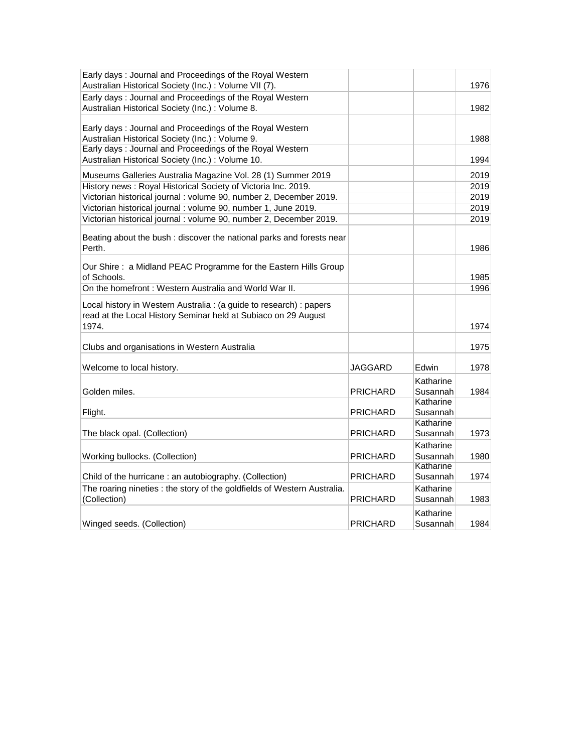| Early days: Journal and Proceedings of the Royal Western<br>Australian Historical Society (Inc.) : Volume VII (7).                           |          |                       | 1976 |
|----------------------------------------------------------------------------------------------------------------------------------------------|----------|-----------------------|------|
| Early days: Journal and Proceedings of the Royal Western<br>Australian Historical Society (Inc.) : Volume 8.                                 |          |                       | 1982 |
| Early days: Journal and Proceedings of the Royal Western<br>Australian Historical Society (Inc.) : Volume 9.                                 |          |                       | 1988 |
| Early days: Journal and Proceedings of the Royal Western<br>Australian Historical Society (Inc.): Volume 10.                                 |          |                       | 1994 |
| Museums Galleries Australia Magazine Vol. 28 (1) Summer 2019                                                                                 |          |                       | 2019 |
| History news: Royal Historical Society of Victoria Inc. 2019.                                                                                |          |                       | 2019 |
| Victorian historical journal : volume 90, number 2, December 2019.                                                                           |          |                       | 2019 |
| Victorian historical journal : volume 90, number 1, June 2019.                                                                               |          |                       | 2019 |
| Victorian historical journal : volume 90, number 2, December 2019.                                                                           |          |                       | 2019 |
| Beating about the bush: discover the national parks and forests near<br>Perth.                                                               |          |                       | 1986 |
| Our Shire: a Midland PEAC Programme for the Eastern Hills Group<br>of Schools.                                                               |          |                       | 1985 |
| On the homefront: Western Australia and World War II.                                                                                        |          |                       | 1996 |
| Local history in Western Australia: (a guide to research): papers<br>read at the Local History Seminar held at Subiaco on 29 August<br>1974. |          |                       | 1974 |
| Clubs and organisations in Western Australia                                                                                                 |          |                       | 1975 |
| Welcome to local history.                                                                                                                    | JAGGARD  | Edwin                 | 1978 |
| Golden miles.                                                                                                                                | PRICHARD | Katharine<br>Susannah | 1984 |
| Flight.                                                                                                                                      | PRICHARD | Katharine<br>Susannah |      |
| The black opal. (Collection)                                                                                                                 | PRICHARD | Katharine<br>Susannah | 1973 |
| Working bullocks. (Collection)                                                                                                               | PRICHARD | Katharine<br>Susannah | 1980 |
|                                                                                                                                              |          | Katharine             |      |
| Child of the hurricane: an autobiography. (Collection)                                                                                       | PRICHARD | Susannah              | 1974 |
| The roaring nineties : the story of the goldfields of Western Australia.<br>(Collection)                                                     | PRICHARD | Katharine<br>Susannah | 1983 |
| Winged seeds. (Collection)                                                                                                                   | PRICHARD | Katharine<br>Susannah | 1984 |